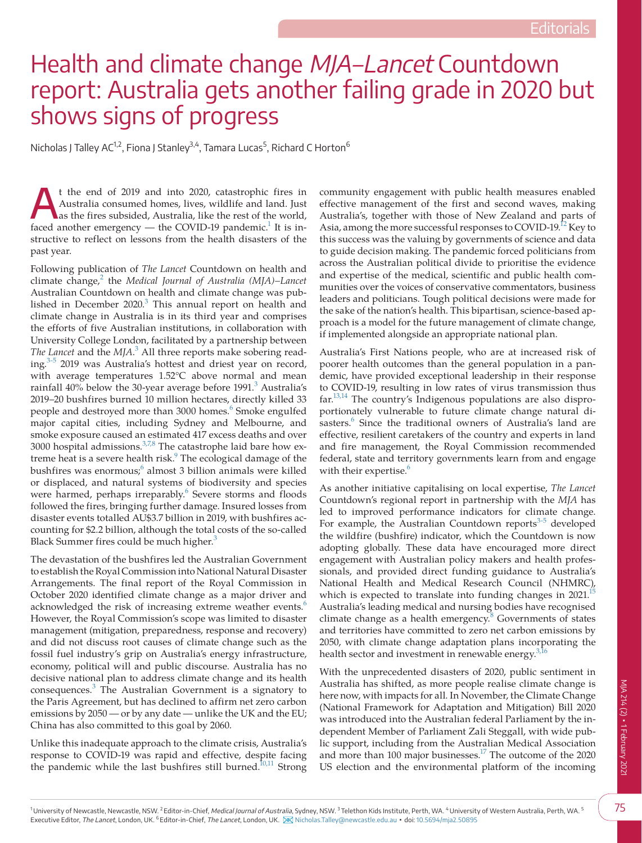## Health and climate change MJA–Lancet Countdown report: Australia gets another failing grade in 2020 but shows signs of progress

Nicholas J Talley AC<sup>1,2</sup>, Fiona J Stanley<sup>3,4</sup>, Tamara Lucas<sup>5</sup>, Richard C Horton<sup>6</sup>

At the end of 2019 and into 2020, catastrophic fires in Australia consumed homes, lives, wildlife and land. Just as the fires subsided, Australia, like the rest of the world, faced another emergency — the COVID-19 pandemic.<sup>1</sup> It is instructive to reflect on lessons from the health disasters of the past year.

Following publication of *The Lancet* Countdown on health and climate change,<sup>[2](#page-1-1)</sup> the *Medical Journal of Australia (MJA)-Lancet* Australian Countdown on health and climate change was published in December  $2020$ .<sup>[3](#page-1-2)</sup> This annual report on health and climate change in Australia is in its third year and comprises the efforts of five Australian institutions, in collaboration with University College London, facilitated by a partnership between *The Lancet* and the *MJA*. [3](#page-1-2) All three reports make sobering read-ing.<sup>[3-5](#page-1-2)</sup> 2019 was Australia's hottest and driest year on record, with average temperatures 1.52°C above normal and mean rainfall  $40\%$  below the [3](#page-1-2)0-year average before 1991.<sup>3</sup> Australia's 2019–20 bushfires burned 10 million hectares, directly killed 33 people and destroyed more than 3000 homes.<sup>6</sup> Smoke engulfed major capital cities, including Sydney and Melbourne, and smoke exposure caused an estimated 417 excess deaths and over 3000 hospital admissions. $3.78$  The catastrophe laid bare how extreme heat is a severe health risk.<sup>9</sup> The ecological damage of the bushfires was enormous;<sup>[6](#page-1-3)</sup> almost 3 billion animals were killed or displaced, and natural systems of biodiversity and species were harmed, perhaps irreparably.<sup>[6](#page-1-3)</sup> Severe storms and floods followed the fires, bringing further damage. Insured losses from disaster events totalled AU\$3.7 billion in 2019, with bushfires accounting for \$2.2 billion, although the total costs of the so-called Black Summer fires could be much higher. $3$ 

The devastation of the bushfires led the Australian Government to establish the Royal Commission into National Natural Disaster Arrangements. The final report of the Royal Commission in October 2020 identified climate change as a major driver and acknowledged the risk of increasing extreme weather events.<sup>6</sup> However, the Royal Commission's scope was limited to disaster management (mitigation, preparedness, response and recovery) and did not discuss root causes of climate change such as the fossil fuel industry's grip on Australia's energy infrastructure, economy, political will and public discourse. Australia has no decisive national plan to address climate change and its health consequences.<sup>[3](#page-1-2)</sup> The Australian Government is a signatory to the Paris Agreement, but has declined to affirm net zero carbon emissions by 2050 — or by any date — unlike the UK and the EU; China has also committed to this goal by 2060.

Unlike this inadequate approach to the climate crisis, Australia's response to COVID-19 was rapid and effective, despite facing the pandemic while the last bushfires still burned.<sup>10,11</sup> Strong community engagement with public health measures enabled effective management of the first and second waves, making Australia's, together with those of New Zealand and parts of Asia, among the more successful responses to COVID-19.<sup>12</sup> Key to this success was the valuing by governments of science and data to guide decision making. The pandemic forced politicians from across the Australian political divide to prioritise the evidence and expertise of the medical, scientific and public health communities over the voices of conservative commentators, business leaders and politicians. Tough political decisions were made for the sake of the nation's health. This bipartisan, science-based approach is a model for the future management of climate change, if implemented alongside an appropriate national plan.

Australia's First Nations people, who are at increased risk of poorer health outcomes than the general population in a pandemic, have provided exceptional leadership in their response to COVID-19, resulting in low rates of virus transmission thus  $far$ <sup>13,14</sup> The country's Indigenous populations are also disproportionately vulnerable to future climate change natural di-sasters.<sup>[6](#page-1-3)</sup> Since the traditional owners of Australia's land are effective, resilient caretakers of the country and experts in land and fire management, the Royal Commission recommended federal, state and territory governments learn from and engage with their expertise.<sup>[6](#page-1-3)</sup>

As another initiative capitalising on local expertise, *The Lancet* Countdown's regional report in partnership with the *MJA* has led to improved performance indicators for climate change. For example, the Australian Countdown reports<sup>[3-5](#page-1-2)</sup> developed the wildfire (bushfire) indicator, which the Countdown is now adopting globally. These data have encouraged more direct engagement with Australian policy makers and health professionals, and provided direct funding guidance to Australia's National Health and Medical Research Council (NHMRC), which is expected to translate into funding changes in 2021. Australia's leading medical and nursing bodies have recognised climate change as a health emergency.<sup>[8](#page-1-9)</sup> Governments of states and territories have committed to zero net carbon emissions by 2050, with climate change adaptation plans incorporating the health sector and investment in renewable energy. $3,16$ 

With the unprecedented disasters of 2020, public sentiment in Australia has shifted, as more people realise climate change is here now, with impacts for all. In November, the Climate Change (National Framework for Adaptation and Mitigation) Bill 2020 was introduced into the Australian federal Parliament by the independent Member of Parliament Zali Steggall, with wide public support, including from the Australian Medical Association and more than 100 major businesses.<sup>17</sup> The outcome of the 2020 US election and the environmental platform of the incoming